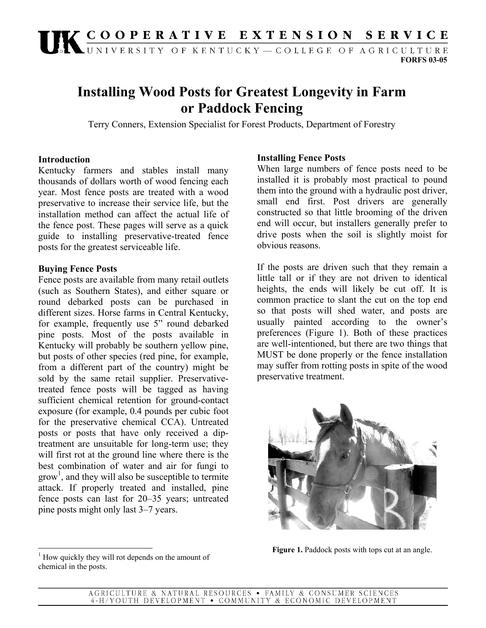# UK COOPERATIVE EXTENSION SERVICE

**FORFS 03-05** 

## **Installing Wood Posts for Greatest Longevity in Farm or Paddock Fencing**

Terry Conners, Extension Specialist for Forest Products, Department of Forestry

#### **Introduction**

Kentucky farmers and stables install many thousands of dollars worth of wood fencing each year. Most fence posts are treated with a wood preservative to increase their service life, but the installation method can affect the actual life of the fence post. These pages will serve as a quick guide to installing preservative-treated fence posts for the greatest serviceable life.

#### **Buying Fence Posts**

Fence posts are available from many retail outlets (such as Southern States), and either square or round debarked posts can be purchased in different sizes. Horse farms in Central Kentucky, for example, frequently use 5" round debarked pine posts. Most of the posts available in Kentucky will probably be southern yellow pine, but posts of other species (red pine, for example, from a different part of the country) might be sold by the same retail supplier. Preservativetreated fence posts will be tagged as having sufficient chemical retention for ground-contact exposure (for example, 0.4 pounds per cubic foot for the preservative chemical CCA). Untreated posts or posts that have only received a diptreatment are unsuitable for long-term use; they will first rot at the ground line where there is the best combination of water and air for fungi to grow<sup>1</sup>, and they will also be susceptible to termite attack. If properly treated and installed, pine fence posts can last for 20–35 years; untreated pine posts might only last 3–7 years.

### <sup>1</sup> How quickly they will rot depends on the amount of chemical in the posts.

#### **Installing Fence Posts**

When large numbers of fence posts need to be installed it is probably most practical to pound them into the ground with a hydraulic post driver, small end first. Post drivers are generally constructed so that little brooming of the driven end will occur, but installers generally prefer to drive posts when the soil is slightly moist for obvious reasons.

If the posts are driven such that they remain a little tall or if they are not driven to identical heights, the ends will likely be cut off. It is common practice to slant the cut on the top end so that posts will shed water, and posts are usually painted according to the owner's preferences (Figure 1). Both of these practices are well-intentioned, but there are two things that MUST be done properly or the fence installation may suffer from rotting posts in spite of the wood preservative treatment.



**Figure 1.** Paddock posts with tops cut at an angle.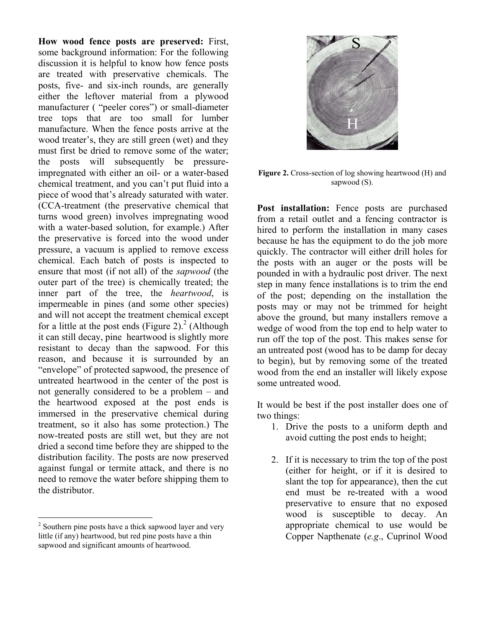**How wood fence posts are preserved:** First, some background information: For the following discussion it is helpful to know how fence posts are treated with preservative chemicals. The posts, five- and six-inch rounds, are generally either the leftover material from a plywood manufacturer ( "peeler cores") or small-diameter tree tops that are too small for lumber manufacture. When the fence posts arrive at the wood treater's, they are still green (wet) and they must first be dried to remove some of the water; the posts will subsequently be pressureimpregnated with either an oil- or a water-based chemical treatment, and you can't put fluid into a piece of wood that's already saturated with water. (CCA-treatment (the preservative chemical that turns wood green) involves impregnating wood with a water-based solution, for example.) After the preservative is forced into the wood under pressure, a vacuum is applied to remove excess chemical. Each batch of posts is inspected to ensure that most (if not all) of the *sapwood* (the outer part of the tree) is chemically treated; the inner part of the tree, the *heartwood*, is impermeable in pines (and some other species) and will not accept the treatment chemical except for a little at the post ends (Figure 2).<sup>2</sup> (Although it can still decay, pine heartwood is slightly more resistant to decay than the sapwood. For this reason, and because it is surrounded by an "envelope" of protected sapwood, the presence of untreated heartwood in the center of the post is not generally considered to be a problem – and the heartwood exposed at the post ends is immersed in the preservative chemical during treatment, so it also has some protection.) The now-treated posts are still wet, but they are not dried a second time before they are shipped to the distribution facility. The posts are now preserved against fungal or termite attack, and there is no need to remove the water before shipping them to the distributor.

1



**Figure 2.** Cross-section of log showing heartwood (H) and sapwood (S).

**Post installation:** Fence posts are purchased from a retail outlet and a fencing contractor is hired to perform the installation in many cases because he has the equipment to do the job more quickly. The contractor will either drill holes for the posts with an auger or the posts will be pounded in with a hydraulic post driver. The next step in many fence installations is to trim the end of the post; depending on the installation the posts may or may not be trimmed for height above the ground, but many installers remove a wedge of wood from the top end to help water to run off the top of the post. This makes sense for an untreated post (wood has to be damp for decay to begin), but by removing some of the treated wood from the end an installer will likely expose some untreated wood.

It would be best if the post installer does one of two things:

- 1. Drive the posts to a uniform depth and avoid cutting the post ends to height;
- 2. If it is necessary to trim the top of the post (either for height, or if it is desired to slant the top for appearance), then the cut end must be re-treated with a wood preservative to ensure that no exposed wood is susceptible to decay. An appropriate chemical to use would be Copper Napthenate (*e.g*., Cuprinol Wood

<sup>&</sup>lt;sup>2</sup> Southern pine posts have a thick sapwood layer and very little (if any) heartwood, but red pine posts have a thin sapwood and significant amounts of heartwood.